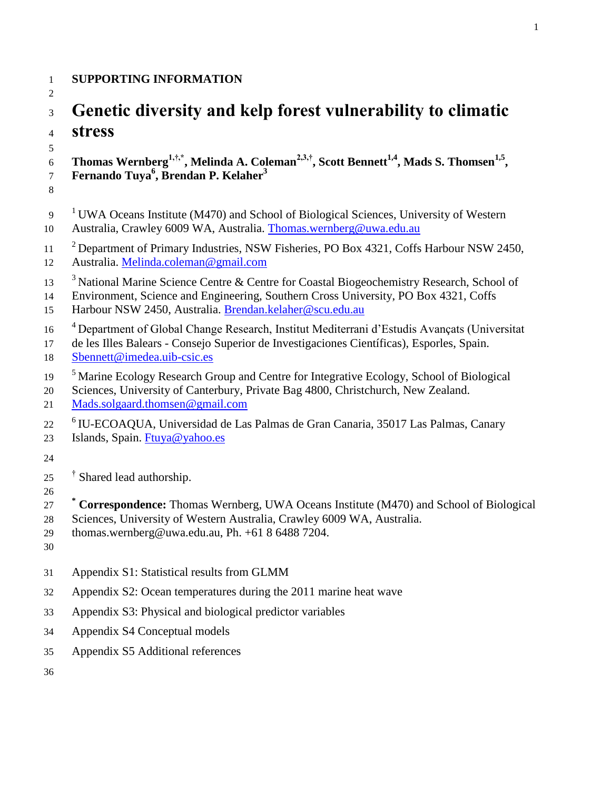## **SUPPORTING INFORMATION**

## 

# **Genetic diversity and kelp forest vulnerability to climatic stress**

 **Thomas Wernberg1,†,\*, Melinda A. Coleman2,3,†, Scott Bennett1,4, Mads S. Thomsen1,5 , Fernando Tuya<sup>6</sup> , Brendan P. Kelaher<sup>3</sup>** 

- 
- UWA Oceans Institute (M470) and School of Biological Sciences, University of Western Australia, Crawley 6009 WA, Australia. [Thomas.wernberg@uwa.edu.au](mailto:Thomas.wernberg@uwa.edu.au)
- <sup>2</sup> Department of Primary Industries, NSW Fisheries, PO Box 4321, Coffs Harbour NSW 2450,
- Australia. [Melinda.coleman@gmail.com](mailto:Melinda.coleman@gmail.com)
- <sup>3</sup> National Marine Science Centre & Centre for Coastal Biogeochemistry Research, School of
- Environment, Science and Engineering, Southern Cross University, PO Box 4321, Coffs Harbour NSW 2450, Australia. [Brendan.kelaher@scu.edu.au](mailto:Brendan.kelaher@scu.edu.au)
- <sup>4</sup> Department of Global Change Research, Institut Mediterrani d'Estudis Avançats (Universitat
- de les Illes Balears Consejo Superior de Investigaciones Científicas), Esporles, Spain. [Sbennett@imedea.uib-csic.es](mailto:Sbennett@imedea.uib-csic.es)
- <sup>5</sup> Marine Ecology Research Group and Centre for Integrative Ecology, School of Biological
- Sciences, University of Canterbury, Private Bag 4800, Christchurch, New Zealand.
- [Mads.solgaard.thomsen@gmail.com](mailto:Mads.solgaard.thomsen@gmail.com)
- <sup>6</sup> IU-ECOAQUA, Universidad de Las Palmas de Gran Canaria, 35017 Las Palmas, Canary
- Islands, Spain. [Ftuya@yahoo.es](mailto:Ftuya@yahoo.es)
- 
- 25 <sup>†</sup> Shared lead authorship.
- 
- **\* Correspondence:** Thomas Wernberg, UWA Oceans Institute (M470) and School of Biological
- Sciences, University of Western Australia, Crawley 6009 WA, Australia.
- thomas.wernberg@uwa.edu.au, Ph. +61 8 6488 7204.
- 
- Appendix S1: Statistical results from GLMM
- Appendix S2: Ocean temperatures during the 2011 marine heat wave
- Appendix S3: Physical and biological predictor variables
- Appendix S4 Conceptual models
- Appendix S5 Additional references
-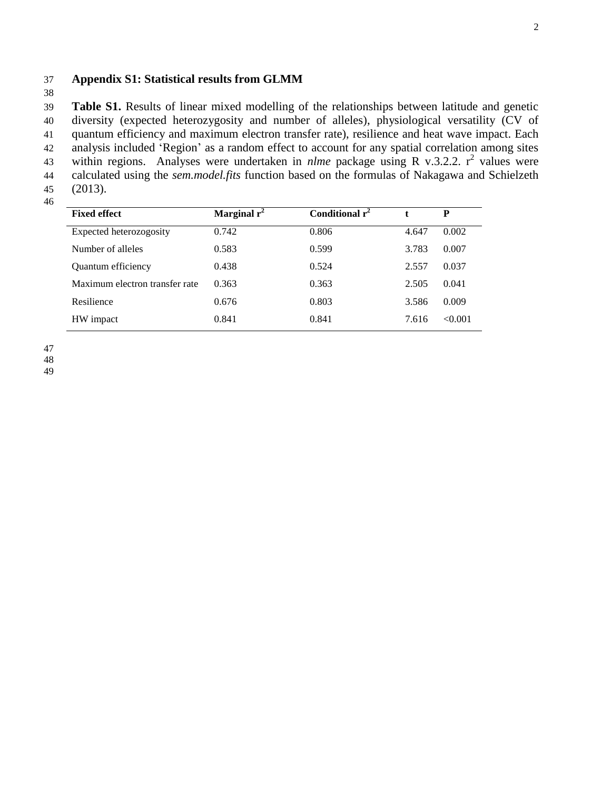### 37 **Appendix S1: Statistical results from GLMM**

38

39 **Table S1.** Results of linear mixed modelling of the relationships between latitude and genetic 40 diversity (expected heterozygosity and number of alleles), physiological versatility (CV of 41 quantum efficiency and maximum electron transfer rate), resilience and heat wave impact. Each 42 analysis included 'Region' as a random effect to account for any spatial correlation among sites 43 within regions. Analyses were undertaken in *nlme* package using R v.3.2.2.  $r^2$  values were 44 calculated using the *sem.model.fits* function based on the formulas of Nakagawa and Schielzeth 45 (2013).

| <b>Fixed effect</b>            | Marginal $r^2$ | Conditional $r^2$ |       | P       |
|--------------------------------|----------------|-------------------|-------|---------|
| Expected heterozogosity        | 0.742          | 0.806             | 4.647 | 0.002   |
| Number of alleles              | 0.583          | 0.599             | 3.783 | 0.007   |
| Quantum efficiency             | 0.438          | 0.524             | 2.557 | 0.037   |
| Maximum electron transfer rate | 0.363          | 0.363             | 2.505 | 0.041   |
| Resilience                     | 0.676          | 0.803             | 3.586 | 0.009   |
| HW impact                      | 0.841          | 0.841             | 7.616 | < 0.001 |

47

48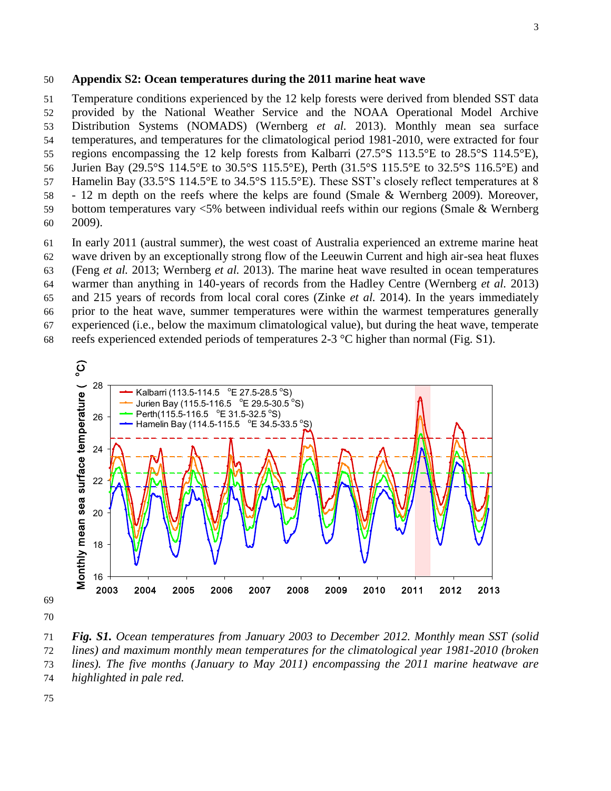#### **Appendix S2: Ocean temperatures during the 2011 marine heat wave**

 Temperature conditions experienced by the 12 kelp forests were derived from blended SST data provided by the National Weather Service and the NOAA Operational Model Archive Distribution Systems (NOMADS) (Wernberg *et al.* 2013). Monthly mean sea surface temperatures, and temperatures for the climatological period 1981-2010, were extracted for four regions encompassing the 12 kelp forests from Kalbarri (27.5°S 113.5°E to 28.5°S 114.5°E), Jurien Bay (29.5°S 114.5°E to 30.5°S 115.5°E), Perth (31.5°S 115.5°E to 32.5°S 116.5°E) and Hamelin Bay (33.5°S 114.5°E to 34.5°S 115.5°E). These SST's closely reflect temperatures at 8 - 12 m depth on the reefs where the kelps are found (Smale & Wernberg 2009). Moreover, bottom temperatures vary <5% between individual reefs within our regions (Smale & Wernberg 2009).

 In early 2011 (austral summer), the west coast of Australia experienced an extreme marine heat wave driven by an exceptionally strong flow of the Leeuwin Current and high air-sea heat fluxes (Feng *et al.* 2013; Wernberg *et al.* 2013). The marine heat wave resulted in ocean temperatures warmer than anything in 140-years of records from the Hadley Centre (Wernberg *et al.* 2013) and 215 years of records from local coral cores (Zinke *et al.* 2014). In the years immediately prior to the heat wave, summer temperatures were within the warmest temperatures generally experienced (i.e., below the maximum climatological value), but during the heat wave, temperate 68 reefs experienced extended periods of temperatures  $2-3$  °C higher than normal (Fig. S1). oric<br>exp<br>O



 *Fig. S1. Ocean temperatures from January 2003 to December 2012. Monthly mean SST (solid lines) and maximum monthly mean temperatures for the climatological year 1981-2010 (broken lines). The five months (January to May 2011) encompassing the 2011 marine heatwave are highlighted in pale red.*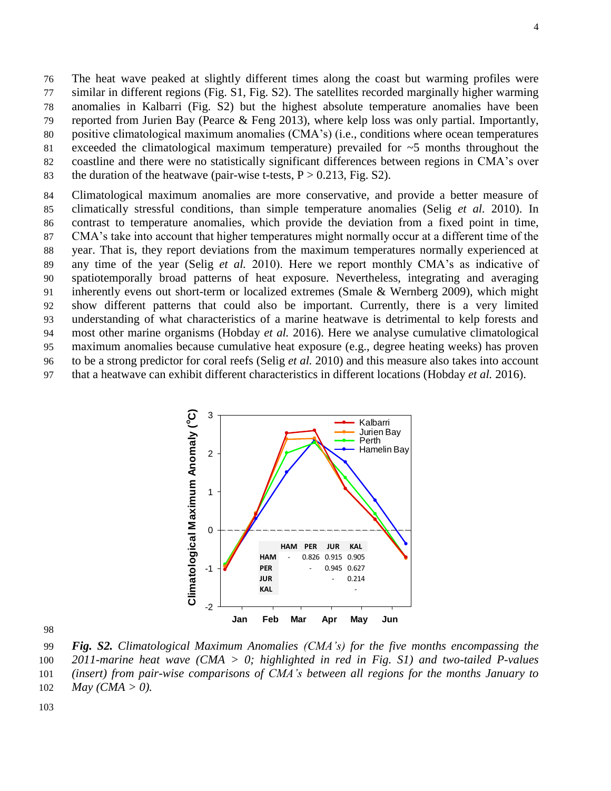The heat wave peaked at slightly different times along the coast but warming profiles were similar in different regions (Fig. S1, Fig. S2). The satellites recorded marginally higher warming anomalies in Kalbarri (Fig. S2) but the highest absolute temperature anomalies have been reported from Jurien Bay (Pearce & Feng 2013), where kelp loss was only partial. Importantly, positive climatological maximum anomalies (CMA's) (i.e., conditions where ocean temperatures exceeded the climatological maximum temperature) prevailed for ~5 months throughout the coastline and there were no statistically significant differences between regions in CMA's over 83 the duration of the heatwave (pair-wise t-tests,  $P > 0.213$ , Fig. S2).

 Climatological maximum anomalies are more conservative, and provide a better measure of climatically stressful conditions, than simple temperature anomalies (Selig *et al.* 2010). In contrast to temperature anomalies, which provide the deviation from a fixed point in time, CMA's take into account that higher temperatures might normally occur at a different time of the year. That is, they report deviations from the maximum temperatures normally experienced at any time of the year (Selig *et al.* 2010). Here we report monthly CMA's as indicative of spatiotemporally broad patterns of heat exposure. Nevertheless, integrating and averaging inherently evens out short-term or localized extremes (Smale & Wernberg 2009), which might show different patterns that could also be important. Currently, there is a very limited understanding of what characteristics of a marine heatwave is detrimental to kelp forests and most other marine organisms (Hobday *et al.* 2016). Here we analyse cumulative climatological maximum anomalies because cumulative heat exposure (e.g., degree heating weeks) has proven to be a strong predictor for coral reefs (Selig *et al.* 2010) and this measure also takes into account that a heatwave can exhibit different characteristics in different locations (Hobday *et al.* 2016).



 *Fig. S2. Climatological Maximum Anomalies (CMA's) for the five months encompassing the 2011-marine heat wave (CMA > 0; highlighted in red in Fig. S1) and two-tailed P-values (insert) from pair-wise comparisons of CMA's between all regions for the months January to May (CMA > 0).*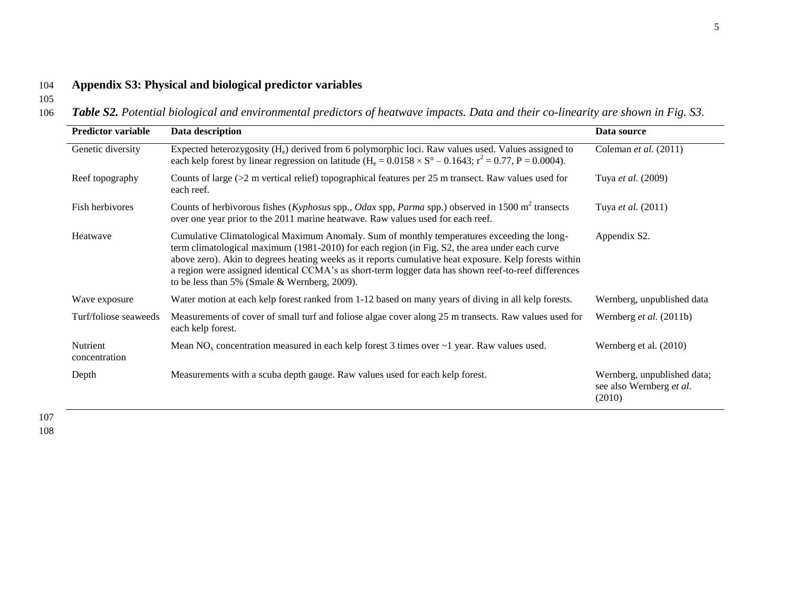### 104 **Appendix S3: Physical and biological predictor variables**

105

106 *Table S2. Potential biological and environmental predictors of heatwave impacts. Data and their co-linearity are shown in Fig. S3.*

| <b>Predictor variable</b> | Data description                                                                                                                                                                                                                                                                                                                                                                                                                                               | Data source                                                       |  |
|---------------------------|----------------------------------------------------------------------------------------------------------------------------------------------------------------------------------------------------------------------------------------------------------------------------------------------------------------------------------------------------------------------------------------------------------------------------------------------------------------|-------------------------------------------------------------------|--|
| Genetic diversity         | Expected heterozygosity $(H_e)$ derived from 6 polymorphic loci. Raw values used. Values assigned to<br>each kelp forest by linear regression on latitude $(H_e = 0.0158 \times S^{\circ} - 0.1643; r^2 = 0.77, P = 0.0004)$ .                                                                                                                                                                                                                                 | Coleman et al. (2011)                                             |  |
| Reef topography           | Counts of large $(>2$ m vertical relief) topographical features per 25 m transect. Raw values used for<br>each reef.                                                                                                                                                                                                                                                                                                                                           | Tuya et al. (2009)                                                |  |
| Fish herbivores           | Counts of herbivorous fishes (Kyphosus spp., Odax spp, Parma spp.) observed in 1500 m <sup>2</sup> transects<br>over one year prior to the 2011 marine heatwave. Raw values used for each reef.                                                                                                                                                                                                                                                                | Tuya et al. (2011)                                                |  |
| Heatwave                  | Cumulative Climatological Maximum Anomaly. Sum of monthly temperatures exceeding the long-<br>term climatological maximum (1981-2010) for each region (in Fig. S2, the area under each curve<br>above zero). Akin to degrees heating weeks as it reports cumulative heat exposure. Kelp forests within<br>a region were assigned identical CCMA's as short-term logger data has shown reef-to-reef differences<br>to be less than 5% (Smale & Wernberg, 2009). | Appendix S2.                                                      |  |
| Wave exposure             | Water motion at each kelp forest ranked from 1-12 based on many years of diving in all kelp forests.                                                                                                                                                                                                                                                                                                                                                           | Wernberg, unpublished data                                        |  |
| Turf/foliose seaweeds     | Measurements of cover of small turf and foliose algae cover along 25 m transects. Raw values used for<br>each kelp forest.                                                                                                                                                                                                                                                                                                                                     | Wernberg et al. (2011b)                                           |  |
| Nutrient<br>concentration | Mean NO <sub>x</sub> concentration measured in each kelp forest 3 times over $\sim$ 1 year. Raw values used.                                                                                                                                                                                                                                                                                                                                                   | Wernberg et al. (2010)                                            |  |
| Depth                     | Measurements with a scuba depth gauge. Raw values used for each kelp forest.                                                                                                                                                                                                                                                                                                                                                                                   | Wernberg, unpublished data;<br>see also Wernberg et al.<br>(2010) |  |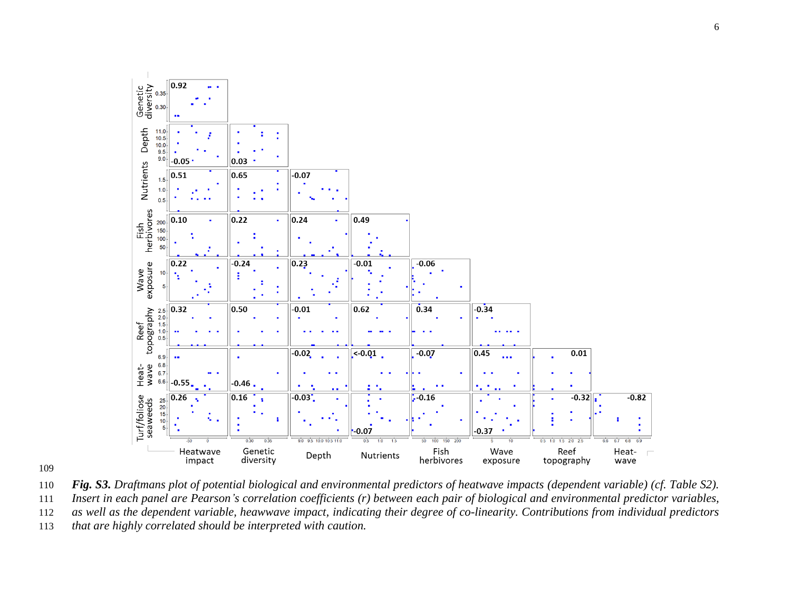

*Fig. S3. Draftmans plot of potential biological and environmental predictors of heatwave impacts (dependent variable) (cf. Table S2).* 

 *Insert in each panel are Pearson's correlation coefficients (r) between each pair of biological and environmental predictor variables, as well as the dependent variable, heawwave impact, indicating their degree of co-linearity. Contributions from individual predictors* 

*that are highly correlated should be interpreted with caution.*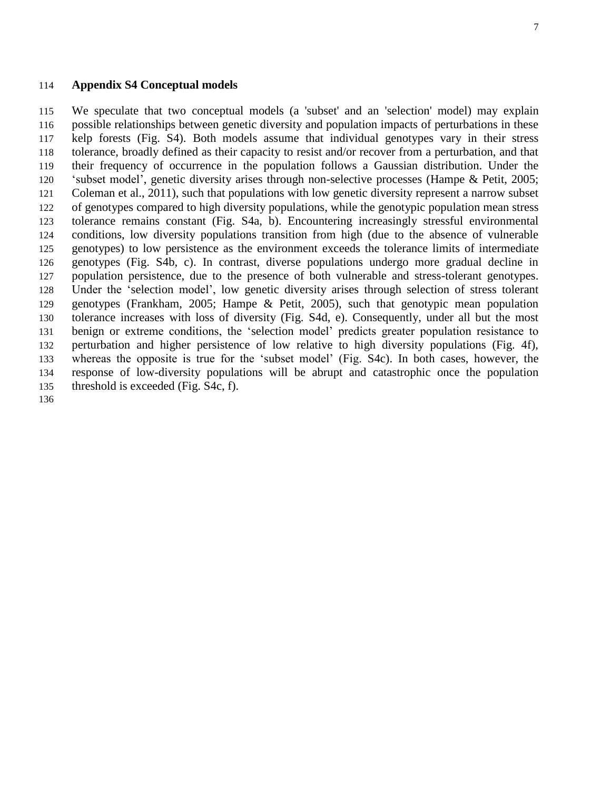#### **Appendix S4 Conceptual models**

 We speculate that two conceptual models (a 'subset' and an 'selection' model) may explain possible relationships between genetic diversity and population impacts of perturbations in these kelp forests (Fig. S4). Both models assume that individual genotypes vary in their stress tolerance, broadly defined as their capacity to resist and/or recover from a perturbation, and that their frequency of occurrence in the population follows a Gaussian distribution. Under the 'subset model', genetic diversity arises through non-selective processes (Hampe & Petit, 2005; Coleman et al., 2011), such that populations with low genetic diversity represent a narrow subset of genotypes compared to high diversity populations, while the genotypic population mean stress tolerance remains constant (Fig. S4a, b). Encountering increasingly stressful environmental conditions, low diversity populations transition from high (due to the absence of vulnerable genotypes) to low persistence as the environment exceeds the tolerance limits of intermediate genotypes (Fig. S4b, c). In contrast, diverse populations undergo more gradual decline in population persistence, due to the presence of both vulnerable and stress-tolerant genotypes. Under the 'selection model', low genetic diversity arises through selection of stress tolerant genotypes (Frankham, 2005; Hampe & Petit, 2005), such that genotypic mean population tolerance increases with loss of diversity (Fig. S4d, e). Consequently, under all but the most benign or extreme conditions, the 'selection model' predicts greater population resistance to perturbation and higher persistence of low relative to high diversity populations (Fig. 4f), whereas the opposite is true for the 'subset model' (Fig. S4c). In both cases, however, the response of low-diversity populations will be abrupt and catastrophic once the population threshold is exceeded (Fig. S4c, f).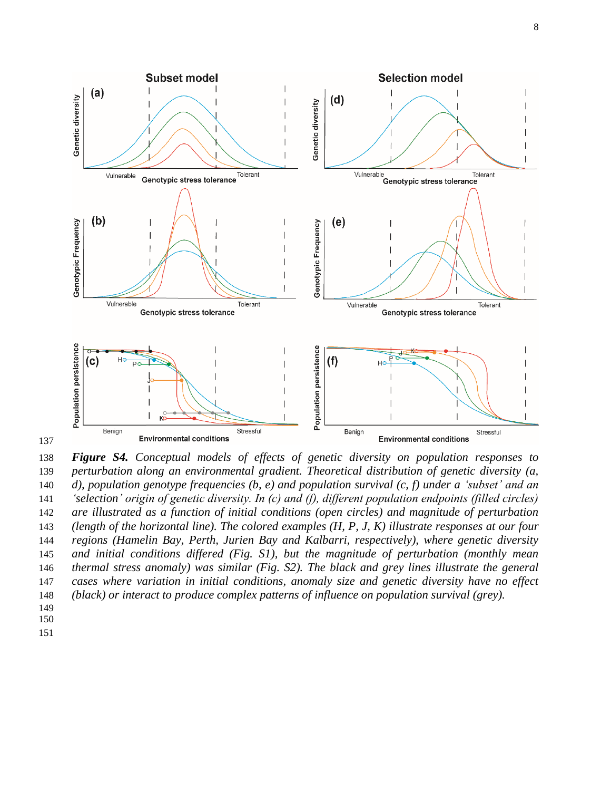

 *Figure S4. Conceptual models of effects of genetic diversity on population responses to perturbation along an environmental gradient. Theoretical distribution of genetic diversity (a, d), population genotype frequencies (b, e) and population survival (c, f) under a 'subset' and an 'selection' origin of genetic diversity. In (c) and (f), different population endpoints (filled circles) are illustrated as a function of initial conditions (open circles) and magnitude of perturbation (length of the horizontal line). The colored examples (H, P, J, K) illustrate responses at our four regions (Hamelin Bay, Perth, Jurien Bay and Kalbarri, respectively), where genetic diversity and initial conditions differed (Fig. S1), but the magnitude of perturbation (monthly mean thermal stress anomaly) was similar (Fig. S2). The black and grey lines illustrate the general cases where variation in initial conditions, anomaly size and genetic diversity have no effect (black) or interact to produce complex patterns of influence on population survival (grey).*